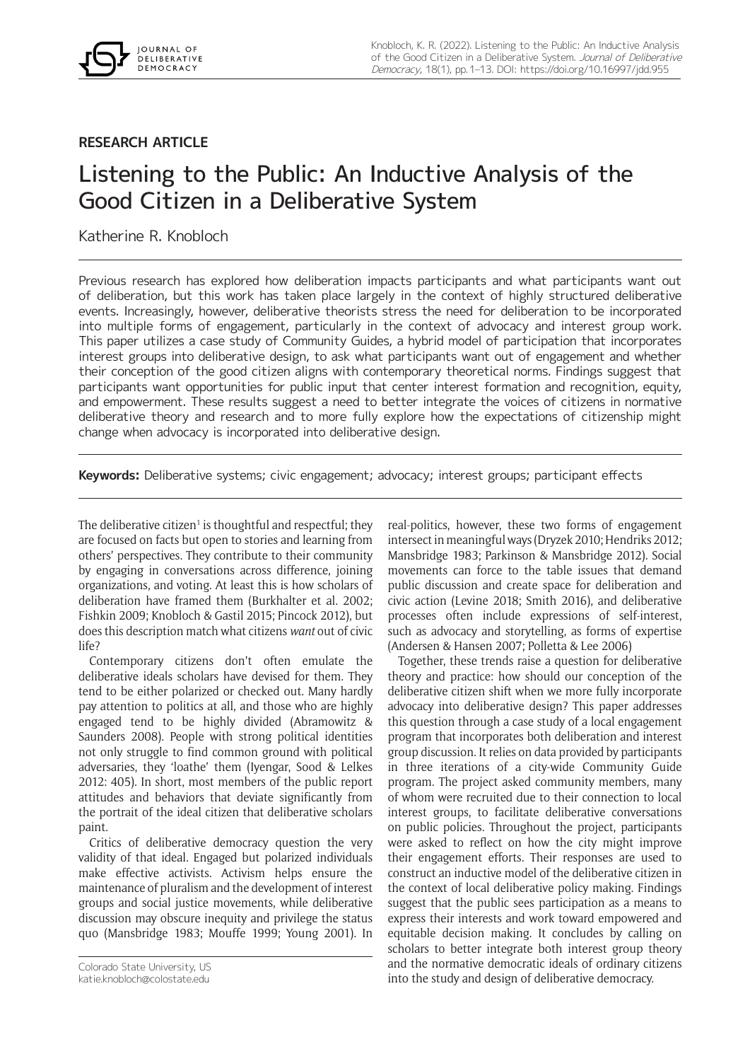

## **RESEARCH ARTICLE**

# Listening to the Public: An Inductive Analysis of the Good Citizen in a Deliberative System

Katherine R. Knobloch

Previous research has explored how deliberation impacts participants and what participants want out of deliberation, but this work has taken place largely in the context of highly structured deliberative events. Increasingly, however, deliberative theorists stress the need for deliberation to be incorporated into multiple forms of engagement, particularly in the context of advocacy and interest group work. This paper utilizes a case study of Community Guides, a hybrid model of participation that incorporates interest groups into deliberative design, to ask what participants want out of engagement and whether their conception of the good citizen aligns with contemporary theoretical norms. Findings suggest that participants want opportunities for public input that center interest formation and recognition, equity, and empowerment. These results suggest a need to better integrate the voices of citizens in normative deliberative theory and research and to more fully explore how the expectations of citizenship might change when advocacy is incorporated into deliberative design.

**Keywords:** Deliberative systems; civic engagement; advocacy; interest groups; participant effects

The deliberative citizen<sup>1</sup> is thoughtful and respectful; they are focused on facts but open to stories and learning from others' perspectives. They contribute to their community by engaging in conversations across difference, joining organizations, and voting. At least this is how scholars of deliberation have framed them (Burkhalter et al. 2002; Fishkin 2009; Knobloch & Gastil 2015; Pincock 2012), but does this description match what citizens *want* out of civic life?

Contemporary citizens don't often emulate the deliberative ideals scholars have devised for them. They tend to be either polarized or checked out. Many hardly pay attention to politics at all, and those who are highly engaged tend to be highly divided (Abramowitz & Saunders 2008). People with strong political identities not only struggle to find common ground with political adversaries, they 'loathe' them (Iyengar, Sood & Lelkes 2012: 405). In short, most members of the public report attitudes and behaviors that deviate significantly from the portrait of the ideal citizen that deliberative scholars paint.

Critics of deliberative democracy question the very validity of that ideal. Engaged but polarized individuals make effective activists. Activism helps ensure the maintenance of pluralism and the development of interest groups and social justice movements, while deliberative discussion may obscure inequity and privilege the status quo (Mansbridge 1983; Mouffe 1999; Young 2001). In real-politics, however, these two forms of engagement intersect in meaningful ways (Dryzek 2010; Hendriks 2012; Mansbridge 1983; Parkinson & Mansbridge 2012). Social movements can force to the table issues that demand public discussion and create space for deliberation and civic action (Levine 2018; Smith 2016), and deliberative processes often include expressions of self-interest, such as advocacy and storytelling, as forms of expertise (Andersen & Hansen 2007; Polletta & Lee 2006)

Together, these trends raise a question for deliberative theory and practice: how should our conception of the deliberative citizen shift when we more fully incorporate advocacy into deliberative design? This paper addresses this question through a case study of a local engagement program that incorporates both deliberation and interest group discussion. It relies on data provided by participants in three iterations of a city-wide Community Guide program. The project asked community members, many of whom were recruited due to their connection to local interest groups, to facilitate deliberative conversations on public policies. Throughout the project, participants were asked to reflect on how the city might improve their engagement efforts. Their responses are used to construct an inductive model of the deliberative citizen in the context of local deliberative policy making. Findings suggest that the public sees participation as a means to express their interests and work toward empowered and equitable decision making. It concludes by calling on scholars to better integrate both interest group theory and the normative democratic ideals of ordinary citizens into the study and design of deliberative democracy.

Colorado State University, US

[katie.knobloch@colostate.edu](mailto:katie.knobloch@colostate.edu)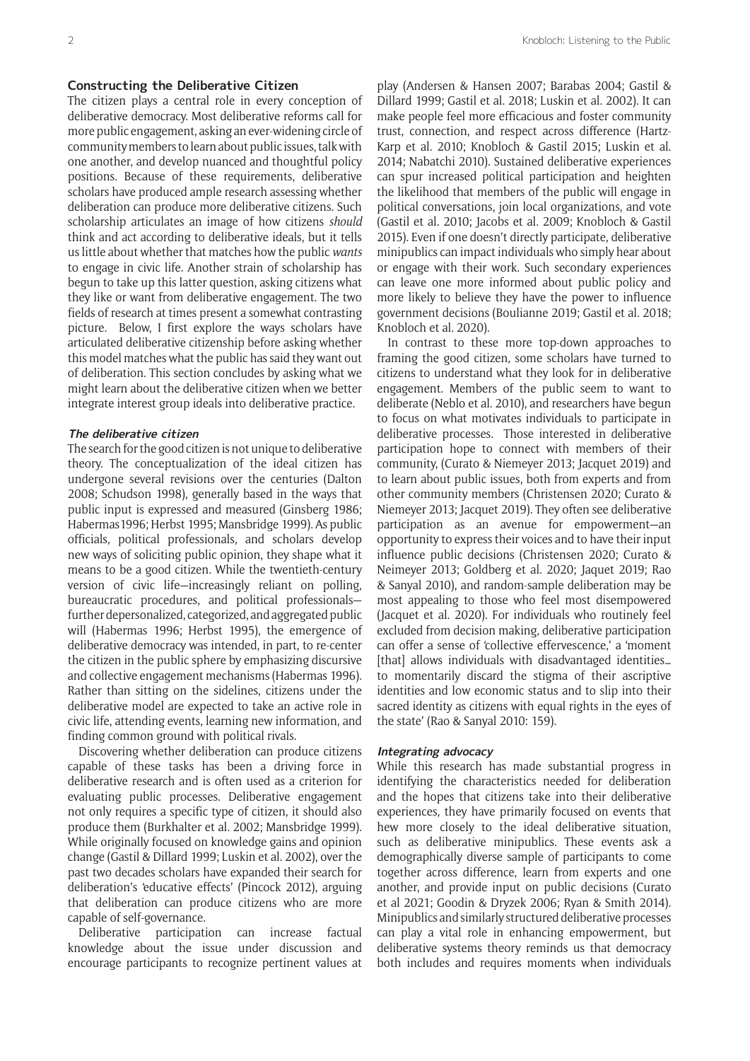#### **Constructing the Deliberative Citizen**

The citizen plays a central role in every conception of deliberative democracy. Most deliberative reforms call for more public engagement, asking an ever-widening circle of community members to learn about public issues, talk with one another, and develop nuanced and thoughtful policy positions. Because of these requirements, deliberative scholars have produced ample research assessing whether deliberation can produce more deliberative citizens. Such scholarship articulates an image of how citizens *should*  think and act according to deliberative ideals, but it tells us little about whether that matches how the public *wants*  to engage in civic life. Another strain of scholarship has begun to take up this latter question, asking citizens what they like or want from deliberative engagement. The two fields of research at times present a somewhat contrasting picture. Below, I first explore the ways scholars have articulated deliberative citizenship before asking whether this model matches what the public has said they want out of deliberation. This section concludes by asking what we might learn about the deliberative citizen when we better integrate interest group ideals into deliberative practice.

#### **The deliberative citizen**

The search for the good citizen is not unique to deliberative theory. The conceptualization of the ideal citizen has undergone several revisions over the centuries (Dalton 2008; Schudson 1998), generally based in the ways that public input is expressed and measured (Ginsberg 1986; Habermas1996; Herbst 1995; Mansbridge 1999). As public officials, political professionals, and scholars develop new ways of soliciting public opinion, they shape what it means to be a good citizen. While the twentieth-century version of civic life—increasingly reliant on polling, bureaucratic procedures, and political professionals further depersonalized, categorized, and aggregated public will (Habermas 1996; Herbst 1995), the emergence of deliberative democracy was intended, in part, to re-center the citizen in the public sphere by emphasizing discursive and collective engagement mechanisms (Habermas 1996). Rather than sitting on the sidelines, citizens under the deliberative model are expected to take an active role in civic life, attending events, learning new information, and finding common ground with political rivals.

Discovering whether deliberation can produce citizens capable of these tasks has been a driving force in deliberative research and is often used as a criterion for evaluating public processes. Deliberative engagement not only requires a specific type of citizen, it should also produce them (Burkhalter et al. 2002; Mansbridge 1999). While originally focused on knowledge gains and opinion change (Gastil & Dillard 1999; Luskin et al. 2002), over the past two decades scholars have expanded their search for deliberation's 'educative effects' (Pincock 2012), arguing that deliberation can produce citizens who are more capable of self-governance.

Deliberative participation can increase factual knowledge about the issue under discussion and encourage participants to recognize pertinent values at

play (Andersen & Hansen 2007; Barabas 2004; Gastil & Dillard 1999; Gastil et al. 2018; Luskin et al. 2002). It can make people feel more efficacious and foster community trust, connection, and respect across difference (Hartz-Karp et al. 2010; Knobloch & Gastil 2015; Luskin et al. 2014; Nabatchi 2010). Sustained deliberative experiences can spur increased political participation and heighten the likelihood that members of the public will engage in political conversations, join local organizations, and vote (Gastil et al. 2010; Jacobs et al. 2009; Knobloch & Gastil 2015). Even if one doesn't directly participate, deliberative minipublics can impact individuals who simply hear about or engage with their work. Such secondary experiences can leave one more informed about public policy and more likely to believe they have the power to influence government decisions (Boulianne 2019; Gastil et al. 2018; Knobloch et al. 2020).

In contrast to these more top-down approaches to framing the good citizen, some scholars have turned to citizens to understand what they look for in deliberative engagement. Members of the public seem to want to deliberate (Neblo et al. 2010), and researchers have begun to focus on what motivates individuals to participate in deliberative processes. Those interested in deliberative participation hope to connect with members of their community, (Curato & Niemeyer 2013; Jacquet 2019) and to learn about public issues, both from experts and from other community members (Christensen 2020; Curato & Niemeyer 2013; Jacquet 2019). They often see deliberative participation as an avenue for empowerment—an opportunity to express their voices and to have their input influence public decisions (Christensen 2020; Curato & Neimeyer 2013; Goldberg et al. 2020; Jaquet 2019; Rao & Sanyal 2010), and random-sample deliberation may be most appealing to those who feel most disempowered (Jacquet et al. 2020). For individuals who routinely feel excluded from decision making, deliberative participation can offer a sense of 'collective effervescence,' a 'moment [that] allows individuals with disadvantaged identities... to momentarily discard the stigma of their ascriptive identities and low economic status and to slip into their sacred identity as citizens with equal rights in the eyes of the state' (Rao & Sanyal 2010: 159).

#### **Integrating advocacy**

While this research has made substantial progress in identifying the characteristics needed for deliberation and the hopes that citizens take into their deliberative experiences, they have primarily focused on events that hew more closely to the ideal deliberative situation, such as deliberative minipublics. These events ask a demographically diverse sample of participants to come together across difference, learn from experts and one another, and provide input on public decisions (Curato et al 2021; Goodin & Dryzek 2006; Ryan & Smith 2014). Minipublics and similarly structured deliberative processes can play a vital role in enhancing empowerment, but deliberative systems theory reminds us that democracy both includes and requires moments when individuals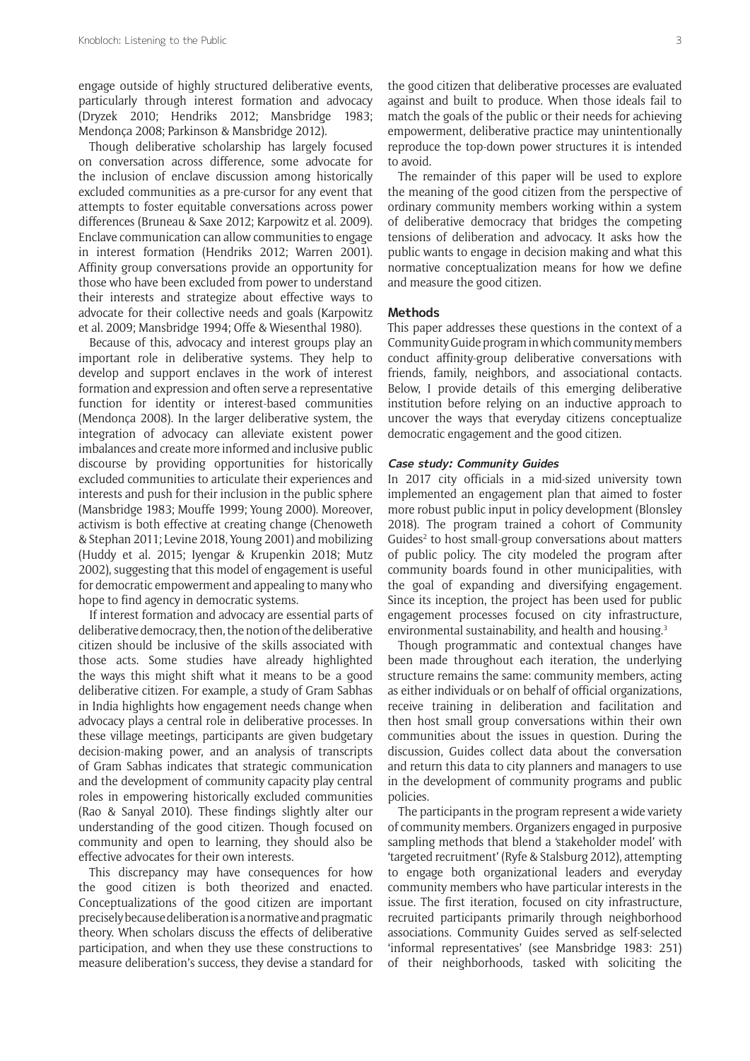engage outside of highly structured deliberative events, particularly through interest formation and advocacy (Dryzek 2010; Hendriks 2012; Mansbridge 1983; Mendonça 2008; Parkinson & Mansbridge 2012).

Though deliberative scholarship has largely focused on conversation across difference, some advocate for the inclusion of enclave discussion among historically excluded communities as a pre-cursor for any event that attempts to foster equitable conversations across power differences (Bruneau & Saxe 2012; Karpowitz et al. 2009). Enclave communication can allow communities to engage in interest formation (Hendriks 2012; Warren 2001). Affinity group conversations provide an opportunity for those who have been excluded from power to understand their interests and strategize about effective ways to advocate for their collective needs and goals (Karpowitz et al. 2009; Mansbridge 1994; Offe & Wiesenthal 1980).

Because of this, advocacy and interest groups play an important role in deliberative systems. They help to develop and support enclaves in the work of interest formation and expression and often serve a representative function for identity or interest-based communities (Mendonça 2008). In the larger deliberative system, the integration of advocacy can alleviate existent power imbalances and create more informed and inclusive public discourse by providing opportunities for historically excluded communities to articulate their experiences and interests and push for their inclusion in the public sphere (Mansbridge 1983; Mouffe 1999; Young 2000). Moreover, activism is both effective at creating change (Chenoweth & Stephan 2011; Levine 2018, Young 2001) and mobilizing (Huddy et al. 2015; Iyengar & Krupenkin 2018; Mutz 2002), suggesting that this model of engagement is useful for democratic empowerment and appealing to many who hope to find agency in democratic systems.

If interest formation and advocacy are essential parts of deliberative democracy, then, the notion of the deliberative citizen should be inclusive of the skills associated with those acts. Some studies have already highlighted the ways this might shift what it means to be a good deliberative citizen. For example, a study of Gram Sabhas in India highlights how engagement needs change when advocacy plays a central role in deliberative processes. In these village meetings, participants are given budgetary decision-making power, and an analysis of transcripts of Gram Sabhas indicates that strategic communication and the development of community capacity play central roles in empowering historically excluded communities (Rao & Sanyal 2010). These findings slightly alter our understanding of the good citizen. Though focused on community and open to learning, they should also be effective advocates for their own interests.

This discrepancy may have consequences for how the good citizen is both theorized and enacted. Conceptualizations of the good citizen are important precisely because deliberation is a normative and pragmatic theory. When scholars discuss the effects of deliberative participation, and when they use these constructions to measure deliberation's success, they devise a standard for

the good citizen that deliberative processes are evaluated against and built to produce. When those ideals fail to match the goals of the public or their needs for achieving empowerment, deliberative practice may unintentionally reproduce the top-down power structures it is intended to avoid.

The remainder of this paper will be used to explore the meaning of the good citizen from the perspective of ordinary community members working within a system of deliberative democracy that bridges the competing tensions of deliberation and advocacy. It asks how the public wants to engage in decision making and what this normative conceptualization means for how we define and measure the good citizen.

#### **Methods**

This paper addresses these questions in the context of a Community Guide program in which community members conduct affinity-group deliberative conversations with friends, family, neighbors, and associational contacts. Below, I provide details of this emerging deliberative institution before relying on an inductive approach to uncover the ways that everyday citizens conceptualize democratic engagement and the good citizen.

#### **Case study: Community Guides**

In 2017 city officials in a mid-sized university town implemented an engagement plan that aimed to foster more robust public input in policy development (Blonsley 2018). The program trained a cohort of Community Guides<sup>2</sup> to host small-group conversations about matters of public policy. The city modeled the program after community boards found in other municipalities, with the goal of expanding and diversifying engagement. Since its inception, the project has been used for public engagement processes focused on city infrastructure, environmental sustainability, and health and housing.<sup>3</sup>

Though programmatic and contextual changes have been made throughout each iteration, the underlying structure remains the same: community members, acting as either individuals or on behalf of official organizations, receive training in deliberation and facilitation and then host small group conversations within their own communities about the issues in question. During the discussion, Guides collect data about the conversation and return this data to city planners and managers to use in the development of community programs and public policies.

The participants in the program represent a wide variety of community members. Organizers engaged in purposive sampling methods that blend a 'stakeholder model' with 'targeted recruitment' (Ryfe & Stalsburg 2012), attempting to engage both organizational leaders and everyday community members who have particular interests in the issue. The first iteration, focused on city infrastructure, recruited participants primarily through neighborhood associations. Community Guides served as self-selected 'informal representatives' (see Mansbridge 1983: 251) of their neighborhoods, tasked with soliciting the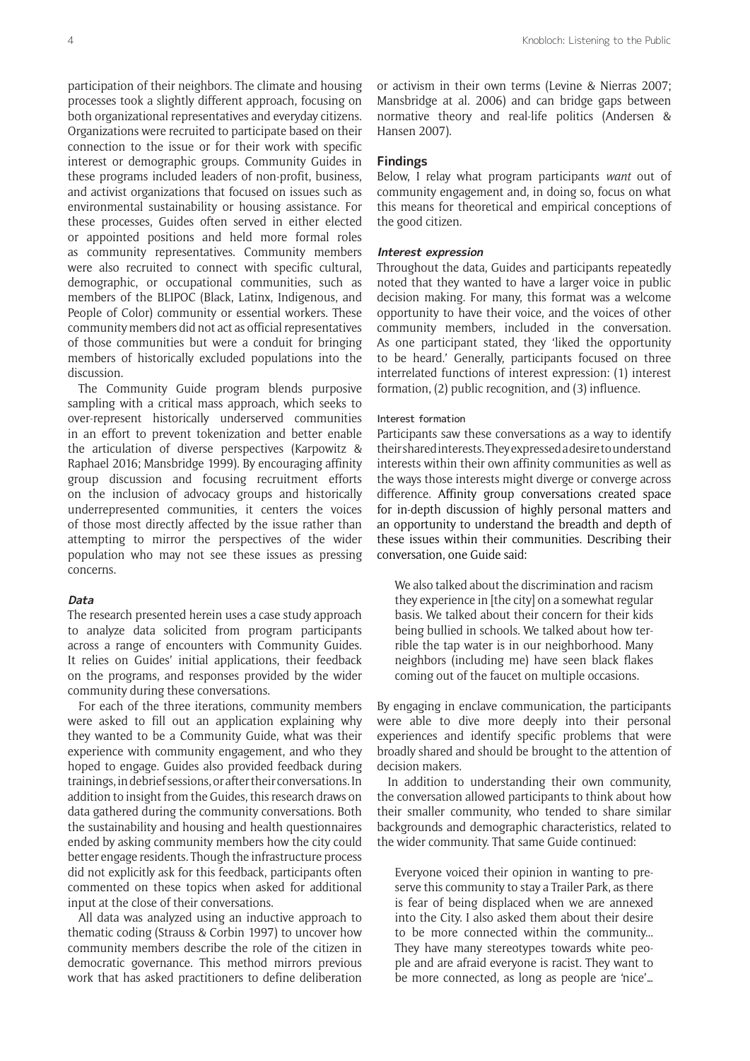participation of their neighbors. The climate and housing processes took a slightly different approach, focusing on both organizational representatives and everyday citizens. Organizations were recruited to participate based on their connection to the issue or for their work with specific interest or demographic groups. Community Guides in these programs included leaders of non-profit, business, and activist organizations that focused on issues such as environmental sustainability or housing assistance. For these processes, Guides often served in either elected or appointed positions and held more formal roles as community representatives. Community members were also recruited to connect with specific cultural, demographic, or occupational communities, such as members of the BLIPOC (Black, Latinx, Indigenous, and People of Color) community or essential workers. These community members did not act as official representatives of those communities but were a conduit for bringing members of historically excluded populations into the discussion.

The Community Guide program blends purposive sampling with a critical mass approach, which seeks to over-represent historically underserved communities in an effort to prevent tokenization and better enable the articulation of diverse perspectives (Karpowitz & Raphael 2016; Mansbridge 1999). By encouraging affinity group discussion and focusing recruitment efforts on the inclusion of advocacy groups and historically underrepresented communities, it centers the voices of those most directly affected by the issue rather than attempting to mirror the perspectives of the wider population who may not see these issues as pressing concerns.

#### **Data**

The research presented herein uses a case study approach to analyze data solicited from program participants across a range of encounters with Community Guides. It relies on Guides' initial applications, their feedback on the programs, and responses provided by the wider community during these conversations.

For each of the three iterations, community members were asked to fill out an application explaining why they wanted to be a Community Guide, what was their experience with community engagement, and who they hoped to engage. Guides also provided feedback during trainings, in debrief sessions, or after their conversations. In addition to insight from the Guides, this research draws on data gathered during the community conversations. Both the sustainability and housing and health questionnaires ended by asking community members how the city could better engage residents. Though the infrastructure process did not explicitly ask for this feedback, participants often commented on these topics when asked for additional input at the close of their conversations.

All data was analyzed using an inductive approach to thematic coding (Strauss & Corbin 1997) to uncover how community members describe the role of the citizen in democratic governance. This method mirrors previous work that has asked practitioners to define deliberation or activism in their own terms (Levine & Nierras 2007; Mansbridge at al. 2006) and can bridge gaps between normative theory and real-life politics (Andersen & Hansen 2007).

## **Findings**

Below, I relay what program participants *want* out of community engagement and, in doing so, focus on what this means for theoretical and empirical conceptions of the good citizen.

#### **Interest expression**

Throughout the data, Guides and participants repeatedly noted that they wanted to have a larger voice in public decision making. For many, this format was a welcome opportunity to have their voice, and the voices of other community members, included in the conversation. As one participant stated, they 'liked the opportunity to be heard.' Generally, participants focused on three interrelated functions of interest expression: (1) interest formation, (2) public recognition, and (3) influence.

#### Interest formation

Participants saw these conversations as a way to identify their shared interests. They expressed a desire to understand interests within their own affinity communities as well as the ways those interests might diverge or converge across difference. Affinity group conversations created space for in-depth discussion of highly personal matters and an opportunity to understand the breadth and depth of these issues within their communities. Describing their conversation, one Guide said:

We also talked about the discrimination and racism they experience in [the city] on a somewhat regular basis. We talked about their concern for their kids being bullied in schools. We talked about how terrible the tap water is in our neighborhood. Many neighbors (including me) have seen black flakes coming out of the faucet on multiple occasions.

By engaging in enclave communication, the participants were able to dive more deeply into their personal experiences and identify specific problems that were broadly shared and should be brought to the attention of decision makers.

In addition to understanding their own community, the conversation allowed participants to think about how their smaller community, who tended to share similar backgrounds and demographic characteristics, related to the wider community. That same Guide continued:

Everyone voiced their opinion in wanting to preserve this community to stay a Trailer Park, as there is fear of being displaced when we are annexed into the City. I also asked them about their desire to be more connected within the community... They have many stereotypes towards white people and are afraid everyone is racist. They want to be more connected, as long as people are 'nice'…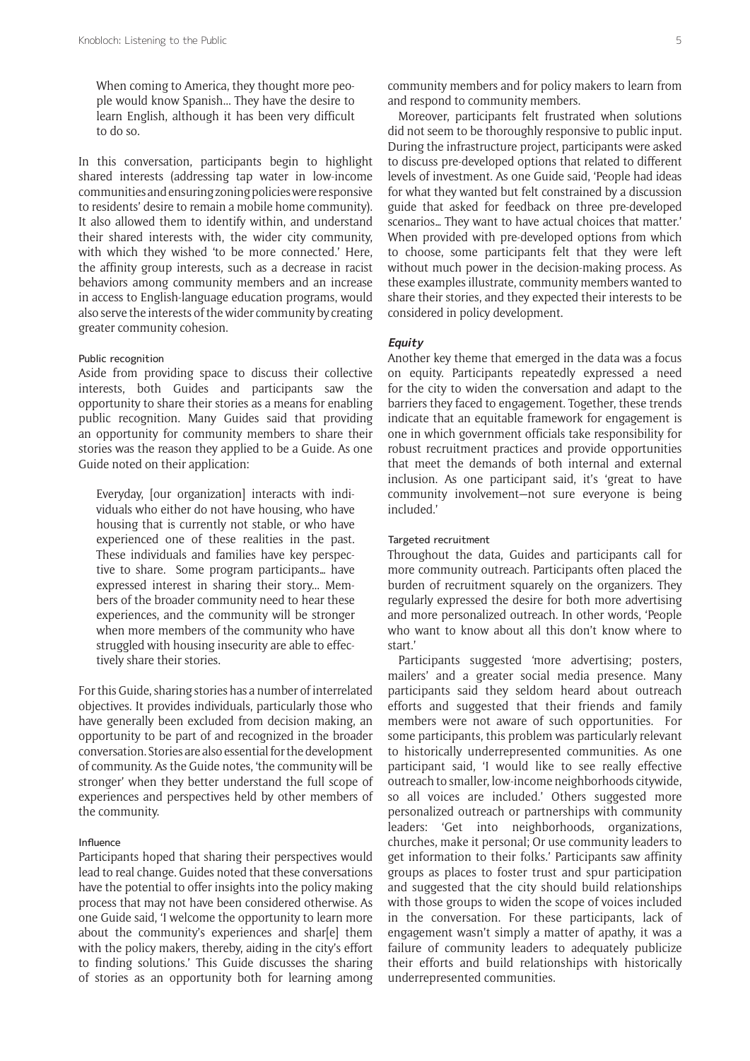When coming to America, they thought more people would know Spanish... They have the desire to learn English, although it has been very difficult to do so.

In this conversation, participants begin to highlight shared interests (addressing tap water in low-income communities and ensuring zoning policies were responsive to residents' desire to remain a mobile home community). It also allowed them to identify within, and understand their shared interests with, the wider city community, with which they wished 'to be more connected.' Here, the affinity group interests, such as a decrease in racist behaviors among community members and an increase in access to English-language education programs, would also serve the interests of the wider community by creating greater community cohesion.

#### Public recognition

Aside from providing space to discuss their collective interests, both Guides and participants saw the opportunity to share their stories as a means for enabling public recognition. Many Guides said that providing an opportunity for community members to share their stories was the reason they applied to be a Guide. As one Guide noted on their application:

Everyday, [our organization] interacts with individuals who either do not have housing, who have housing that is currently not stable, or who have experienced one of these realities in the past. These individuals and families have key perspective to share. Some program participants… have expressed interest in sharing their story... Members of the broader community need to hear these experiences, and the community will be stronger when more members of the community who have struggled with housing insecurity are able to effectively share their stories.

For this Guide, sharing stories has a number of interrelated objectives. It provides individuals, particularly those who have generally been excluded from decision making, an opportunity to be part of and recognized in the broader conversation. Stories are also essential for the development of community. As the Guide notes, 'the community will be stronger' when they better understand the full scope of experiences and perspectives held by other members of the community.

#### Influence

Participants hoped that sharing their perspectives would lead to real change. Guides noted that these conversations have the potential to offer insights into the policy making process that may not have been considered otherwise. As one Guide said, 'I welcome the opportunity to learn more about the community's experiences and shar[e] them with the policy makers, thereby, aiding in the city's effort to finding solutions.' This Guide discusses the sharing of stories as an opportunity both for learning among community members and for policy makers to learn from and respond to community members.

Moreover, participants felt frustrated when solutions did not seem to be thoroughly responsive to public input. During the infrastructure project, participants were asked to discuss pre-developed options that related to different levels of investment. As one Guide said, 'People had ideas for what they wanted but felt constrained by a discussion guide that asked for feedback on three pre-developed scenarios… They want to have actual choices that matter.' When provided with pre-developed options from which to choose, some participants felt that they were left without much power in the decision-making process. As these examples illustrate, community members wanted to share their stories, and they expected their interests to be considered in policy development.

## **Equity**

Another key theme that emerged in the data was a focus on equity. Participants repeatedly expressed a need for the city to widen the conversation and adapt to the barriers they faced to engagement. Together, these trends indicate that an equitable framework for engagement is one in which government officials take responsibility for robust recruitment practices and provide opportunities that meet the demands of both internal and external inclusion. As one participant said, it's 'great to have community involvement—not sure everyone is being included.'

#### Targeted recruitment

Throughout the data, Guides and participants call for more community outreach. Participants often placed the burden of recruitment squarely on the organizers. They regularly expressed the desire for both more advertising and more personalized outreach. In other words, 'People who want to know about all this don't know where to start.'

Participants suggested 'more advertising; posters, mailers' and a greater social media presence. Many participants said they seldom heard about outreach efforts and suggested that their friends and family members were not aware of such opportunities. For some participants, this problem was particularly relevant to historically underrepresented communities. As one participant said, 'I would like to see really effective outreach to smaller, low-income neighborhoods citywide, so all voices are included.' Others suggested more personalized outreach or partnerships with community leaders: 'Get into neighborhoods, organizations, churches, make it personal; Or use community leaders to get information to their folks.' Participants saw affinity groups as places to foster trust and spur participation and suggested that the city should build relationships with those groups to widen the scope of voices included in the conversation. For these participants, lack of engagement wasn't simply a matter of apathy, it was a failure of community leaders to adequately publicize their efforts and build relationships with historically underrepresented communities.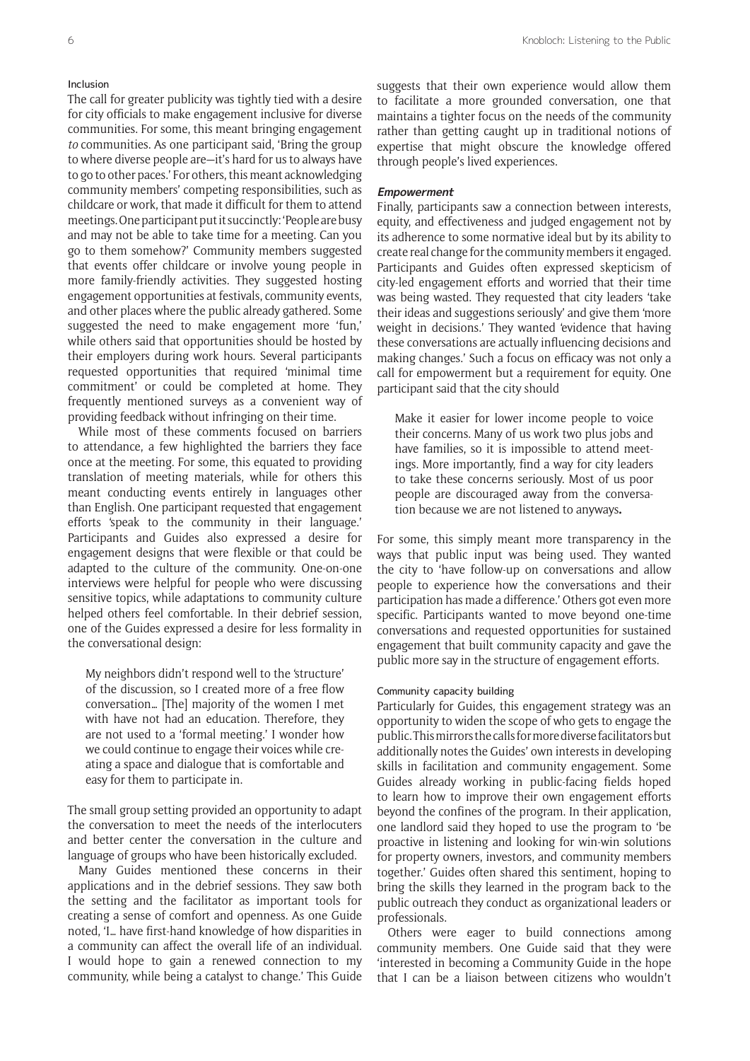#### Inclusion

The call for greater publicity was tightly tied with a desire for city officials to make engagement inclusive for diverse communities. For some, this meant bringing engagement *to* communities. As one participant said, 'Bring the group to where diverse people are—it's hard for us to always have to go to other paces.' For others, this meant acknowledging community members' competing responsibilities, such as childcare or work, that made it difficult for them to attend meetings. One participant put it succinctly: 'People are busy and may not be able to take time for a meeting. Can you go to them somehow?' Community members suggested that events offer childcare or involve young people in more family-friendly activities. They suggested hosting engagement opportunities at festivals, community events, and other places where the public already gathered. Some suggested the need to make engagement more 'fun,' while others said that opportunities should be hosted by their employers during work hours. Several participants requested opportunities that required 'minimal time commitment' or could be completed at home. They frequently mentioned surveys as a convenient way of providing feedback without infringing on their time.

While most of these comments focused on barriers to attendance, a few highlighted the barriers they face once at the meeting. For some, this equated to providing translation of meeting materials, while for others this meant conducting events entirely in languages other than English. One participant requested that engagement efforts 'speak to the community in their language.' Participants and Guides also expressed a desire for engagement designs that were flexible or that could be adapted to the culture of the community. One-on-one interviews were helpful for people who were discussing sensitive topics, while adaptations to community culture helped others feel comfortable. In their debrief session, one of the Guides expressed a desire for less formality in the conversational design:

My neighbors didn't respond well to the 'structure' of the discussion, so I created more of a free flow conversation… [The] majority of the women I met with have not had an education. Therefore, they are not used to a 'formal meeting.' I wonder how we could continue to engage their voices while creating a space and dialogue that is comfortable and easy for them to participate in.

The small group setting provided an opportunity to adapt the conversation to meet the needs of the interlocuters and better center the conversation in the culture and language of groups who have been historically excluded.

Many Guides mentioned these concerns in their applications and in the debrief sessions. They saw both the setting and the facilitator as important tools for creating a sense of comfort and openness. As one Guide noted, 'I… have first-hand knowledge of how disparities in a community can affect the overall life of an individual. I would hope to gain a renewed connection to my community, while being a catalyst to change.' This Guide

suggests that their own experience would allow them to facilitate a more grounded conversation, one that maintains a tighter focus on the needs of the community rather than getting caught up in traditional notions of expertise that might obscure the knowledge offered through people's lived experiences.

#### **Empowerment**

Finally, participants saw a connection between interests, equity, and effectiveness and judged engagement not by its adherence to some normative ideal but by its ability to create real change for the community members it engaged. Participants and Guides often expressed skepticism of city-led engagement efforts and worried that their time was being wasted. They requested that city leaders 'take their ideas and suggestions seriously' and give them 'more weight in decisions.' They wanted 'evidence that having these conversations are actually influencing decisions and making changes.' Such a focus on efficacy was not only a call for empowerment but a requirement for equity. One participant said that the city should

Make it easier for lower income people to voice their concerns. Many of us work two plus jobs and have families, so it is impossible to attend meetings. More importantly, find a way for city leaders to take these concerns seriously. Most of us poor people are discouraged away from the conversation because we are not listened to anyways**.**

For some, this simply meant more transparency in the ways that public input was being used. They wanted the city to 'have follow-up on conversations and allow people to experience how the conversations and their participation has made a difference.' Others got even more specific. Participants wanted to move beyond one-time conversations and requested opportunities for sustained engagement that built community capacity and gave the public more say in the structure of engagement efforts.

#### Community capacity building

Particularly for Guides, this engagement strategy was an opportunity to widen the scope of who gets to engage the public. This mirrors the calls for more diverse facilitators but additionally notes the Guides' own interests in developing skills in facilitation and community engagement. Some Guides already working in public-facing fields hoped to learn how to improve their own engagement efforts beyond the confines of the program. In their application, one landlord said they hoped to use the program to 'be proactive in listening and looking for win-win solutions for property owners, investors, and community members together.' Guides often shared this sentiment, hoping to bring the skills they learned in the program back to the public outreach they conduct as organizational leaders or professionals.

Others were eager to build connections among community members. One Guide said that they were 'interested in becoming a Community Guide in the hope that I can be a liaison between citizens who wouldn't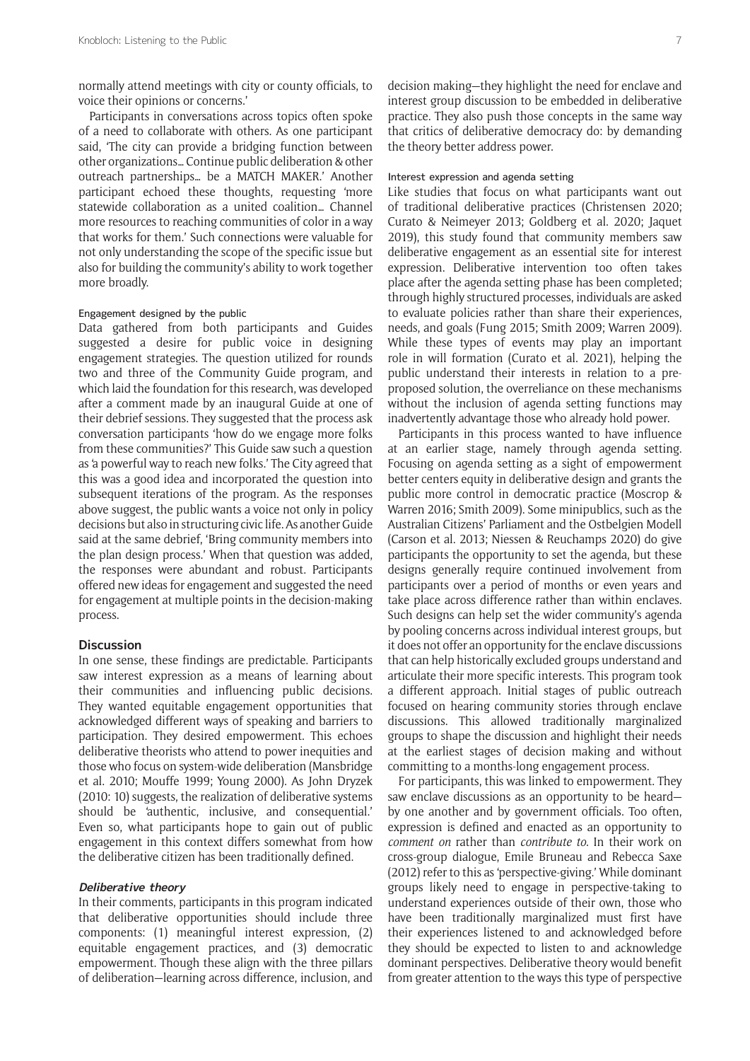normally attend meetings with city or county officials, to voice their opinions or concerns.'

Participants in conversations across topics often spoke of a need to collaborate with others. As one participant said, 'The city can provide a bridging function between other organizations… Continue public deliberation & other outreach partnerships… be a MATCH MAKER.' Another participant echoed these thoughts, requesting 'more statewide collaboration as a united coalition… Channel more resources to reaching communities of color in a way that works for them.' Such connections were valuable for not only understanding the scope of the specific issue but also for building the community's ability to work together more broadly.

#### Engagement designed by the public

Data gathered from both participants and Guides suggested a desire for public voice in designing engagement strategies. The question utilized for rounds two and three of the Community Guide program, and which laid the foundation for this research, was developed after a comment made by an inaugural Guide at one of their debrief sessions. They suggested that the process ask conversation participants 'how do we engage more folks from these communities?' This Guide saw such a question as 'a powerful way to reach new folks.' The City agreed that this was a good idea and incorporated the question into subsequent iterations of the program. As the responses above suggest, the public wants a voice not only in policy decisions but also in structuring civic life. As another Guide said at the same debrief, 'Bring community members into the plan design process.' When that question was added, the responses were abundant and robust. Participants offered new ideas for engagement and suggested the need for engagement at multiple points in the decision-making process.

#### **Discussion**

In one sense, these findings are predictable. Participants saw interest expression as a means of learning about their communities and influencing public decisions. They wanted equitable engagement opportunities that acknowledged different ways of speaking and barriers to participation. They desired empowerment. This echoes deliberative theorists who attend to power inequities and those who focus on system-wide deliberation (Mansbridge et al. 2010; Mouffe 1999; Young 2000). As John Dryzek (2010: 10) suggests, the realization of deliberative systems should be 'authentic, inclusive, and consequential.' Even so, what participants hope to gain out of public engagement in this context differs somewhat from how the deliberative citizen has been traditionally defined.

#### **Deliberative theory**

In their comments, participants in this program indicated that deliberative opportunities should include three components: (1) meaningful interest expression, (2) equitable engagement practices, and (3) democratic empowerment. Though these align with the three pillars of deliberation—learning across difference, inclusion, and

decision making—they highlight the need for enclave and interest group discussion to be embedded in deliberative practice. They also push those concepts in the same way that critics of deliberative democracy do: by demanding the theory better address power.

#### Interest expression and agenda setting

Like studies that focus on what participants want out of traditional deliberative practices (Christensen 2020; Curato & Neimeyer 2013; Goldberg et al. 2020; Jaquet 2019), this study found that community members saw deliberative engagement as an essential site for interest expression. Deliberative intervention too often takes place after the agenda setting phase has been completed; through highly structured processes, individuals are asked to evaluate policies rather than share their experiences, needs, and goals (Fung 2015; Smith 2009; Warren 2009). While these types of events may play an important role in will formation (Curato et al. 2021), helping the public understand their interests in relation to a preproposed solution, the overreliance on these mechanisms without the inclusion of agenda setting functions may inadvertently advantage those who already hold power.

Participants in this process wanted to have influence at an earlier stage, namely through agenda setting. Focusing on agenda setting as a sight of empowerment better centers equity in deliberative design and grants the public more control in democratic practice (Moscrop & Warren 2016; Smith 2009). Some minipublics, such as the Australian Citizens' Parliament and the Ostbelgien Modell (Carson et al. 2013; Niessen & Reuchamps 2020) do give participants the opportunity to set the agenda, but these designs generally require continued involvement from participants over a period of months or even years and take place across difference rather than within enclaves. Such designs can help set the wider community's agenda by pooling concerns across individual interest groups, but it does not offer an opportunity for the enclave discussions that can help historically excluded groups understand and articulate their more specific interests. This program took a different approach. Initial stages of public outreach focused on hearing community stories through enclave discussions. This allowed traditionally marginalized groups to shape the discussion and highlight their needs at the earliest stages of decision making and without committing to a months-long engagement process.

For participants, this was linked to empowerment. They saw enclave discussions as an opportunity to be heard by one another and by government officials. Too often, expression is defined and enacted as an opportunity to *comment on* rather than *contribute to*. In their work on cross-group dialogue, Emile Bruneau and Rebecca Saxe (2012) refer to this as 'perspective-giving.' While dominant groups likely need to engage in perspective-taking to understand experiences outside of their own, those who have been traditionally marginalized must first have their experiences listened to and acknowledged before they should be expected to listen to and acknowledge dominant perspectives. Deliberative theory would benefit from greater attention to the ways this type of perspective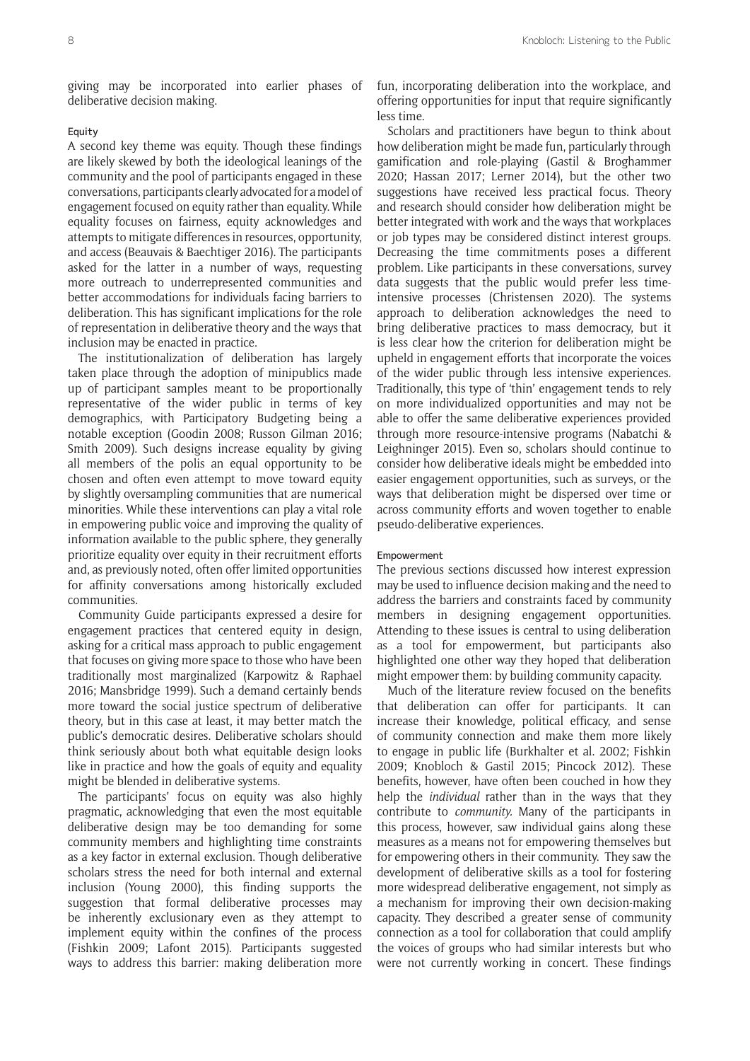giving may be incorporated into earlier phases of deliberative decision making.

## Equity

A second key theme was equity. Though these findings are likely skewed by both the ideological leanings of the community and the pool of participants engaged in these conversations, participants clearly advocated for a model of engagement focused on equity rather than equality. While equality focuses on fairness, equity acknowledges and attempts to mitigate differences in resources, opportunity, and access (Beauvais & Baechtiger 2016). The participants asked for the latter in a number of ways, requesting more outreach to underrepresented communities and better accommodations for individuals facing barriers to deliberation. This has significant implications for the role of representation in deliberative theory and the ways that inclusion may be enacted in practice.

The institutionalization of deliberation has largely taken place through the adoption of minipublics made up of participant samples meant to be proportionally representative of the wider public in terms of key demographics, with Participatory Budgeting being a notable exception (Goodin 2008; Russon Gilman 2016; Smith 2009). Such designs increase equality by giving all members of the polis an equal opportunity to be chosen and often even attempt to move toward equity by slightly oversampling communities that are numerical minorities. While these interventions can play a vital role in empowering public voice and improving the quality of information available to the public sphere, they generally prioritize equality over equity in their recruitment efforts and, as previously noted, often offer limited opportunities for affinity conversations among historically excluded communities.

Community Guide participants expressed a desire for engagement practices that centered equity in design, asking for a critical mass approach to public engagement that focuses on giving more space to those who have been traditionally most marginalized (Karpowitz & Raphael 2016; Mansbridge 1999). Such a demand certainly bends more toward the social justice spectrum of deliberative theory, but in this case at least, it may better match the public's democratic desires. Deliberative scholars should think seriously about both what equitable design looks like in practice and how the goals of equity and equality might be blended in deliberative systems.

The participants' focus on equity was also highly pragmatic, acknowledging that even the most equitable deliberative design may be too demanding for some community members and highlighting time constraints as a key factor in external exclusion. Though deliberative scholars stress the need for both internal and external inclusion (Young 2000), this finding supports the suggestion that formal deliberative processes may be inherently exclusionary even as they attempt to implement equity within the confines of the process (Fishkin 2009; Lafont 2015). Participants suggested ways to address this barrier: making deliberation more fun, incorporating deliberation into the workplace, and offering opportunities for input that require significantly less time.

Scholars and practitioners have begun to think about how deliberation might be made fun, particularly through gamification and role-playing (Gastil & Broghammer 2020; Hassan 2017; Lerner 2014), but the other two suggestions have received less practical focus. Theory and research should consider how deliberation might be better integrated with work and the ways that workplaces or job types may be considered distinct interest groups. Decreasing the time commitments poses a different problem. Like participants in these conversations, survey data suggests that the public would prefer less timeintensive processes (Christensen 2020). The systems approach to deliberation acknowledges the need to bring deliberative practices to mass democracy, but it is less clear how the criterion for deliberation might be upheld in engagement efforts that incorporate the voices of the wider public through less intensive experiences. Traditionally, this type of 'thin' engagement tends to rely on more individualized opportunities and may not be able to offer the same deliberative experiences provided through more resource-intensive programs (Nabatchi & Leighninger 2015). Even so, scholars should continue to consider how deliberative ideals might be embedded into easier engagement opportunities, such as surveys, or the ways that deliberation might be dispersed over time or across community efforts and woven together to enable pseudo-deliberative experiences.

#### Empowerment

The previous sections discussed how interest expression may be used to influence decision making and the need to address the barriers and constraints faced by community members in designing engagement opportunities. Attending to these issues is central to using deliberation as a tool for empowerment, but participants also highlighted one other way they hoped that deliberation might empower them: by building community capacity.

Much of the literature review focused on the benefits that deliberation can offer for participants. It can increase their knowledge, political efficacy, and sense of community connection and make them more likely to engage in public life (Burkhalter et al. 2002; Fishkin 2009; Knobloch & Gastil 2015; Pincock 2012). These benefits, however, have often been couched in how they help the *individual* rather than in the ways that they contribute to *community.* Many of the participants in this process, however, saw individual gains along these measures as a means not for empowering themselves but for empowering others in their community. They saw the development of deliberative skills as a tool for fostering more widespread deliberative engagement, not simply as a mechanism for improving their own decision-making capacity. They described a greater sense of community connection as a tool for collaboration that could amplify the voices of groups who had similar interests but who were not currently working in concert. These findings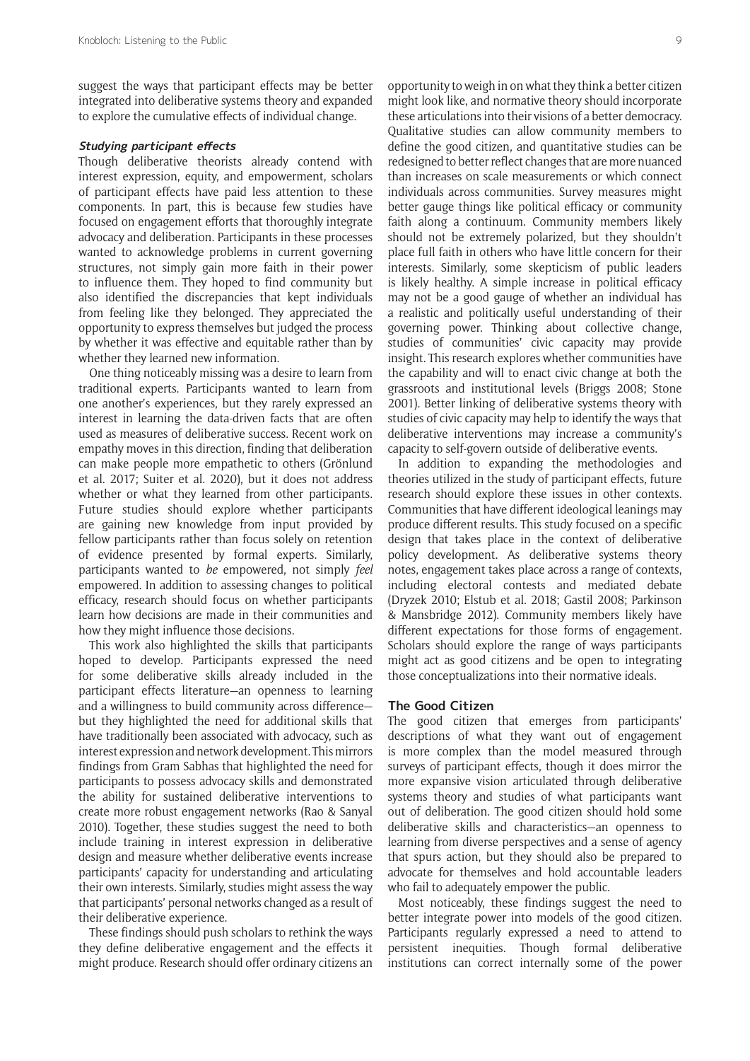suggest the ways that participant effects may be better integrated into deliberative systems theory and expanded to explore the cumulative effects of individual change.

## **Studying participant effects**

Though deliberative theorists already contend with interest expression, equity, and empowerment, scholars of participant effects have paid less attention to these components. In part, this is because few studies have focused on engagement efforts that thoroughly integrate advocacy and deliberation. Participants in these processes wanted to acknowledge problems in current governing structures, not simply gain more faith in their power to influence them. They hoped to find community but also identified the discrepancies that kept individuals from feeling like they belonged. They appreciated the opportunity to express themselves but judged the process by whether it was effective and equitable rather than by whether they learned new information.

One thing noticeably missing was a desire to learn from traditional experts. Participants wanted to learn from one another's experiences, but they rarely expressed an interest in learning the data-driven facts that are often used as measures of deliberative success. Recent work on empathy moves in this direction, finding that deliberation can make people more empathetic to others (Grönlund et al. 2017; Suiter et al. 2020), but it does not address whether or what they learned from other participants. Future studies should explore whether participants are gaining new knowledge from input provided by fellow participants rather than focus solely on retention of evidence presented by formal experts. Similarly, participants wanted to *be* empowered, not simply *feel*  empowered. In addition to assessing changes to political efficacy, research should focus on whether participants learn how decisions are made in their communities and how they might influence those decisions.

This work also highlighted the skills that participants hoped to develop. Participants expressed the need for some deliberative skills already included in the participant effects literature—an openness to learning and a willingness to build community across difference but they highlighted the need for additional skills that have traditionally been associated with advocacy, such as interest expression and network development. This mirrors findings from Gram Sabhas that highlighted the need for participants to possess advocacy skills and demonstrated the ability for sustained deliberative interventions to create more robust engagement networks (Rao & Sanyal 2010). Together, these studies suggest the need to both include training in interest expression in deliberative design and measure whether deliberative events increase participants' capacity for understanding and articulating their own interests. Similarly, studies might assess the way that participants' personal networks changed as a result of their deliberative experience.

These findings should push scholars to rethink the ways they define deliberative engagement and the effects it might produce. Research should offer ordinary citizens an

opportunity to weigh in on what they think a better citizen might look like, and normative theory should incorporate these articulations into their visions of a better democracy. Qualitative studies can allow community members to define the good citizen, and quantitative studies can be redesigned to better reflect changes that are more nuanced than increases on scale measurements or which connect individuals across communities. Survey measures might better gauge things like political efficacy or community faith along a continuum. Community members likely should not be extremely polarized, but they shouldn't place full faith in others who have little concern for their interests. Similarly, some skepticism of public leaders is likely healthy. A simple increase in political efficacy may not be a good gauge of whether an individual has a realistic and politically useful understanding of their governing power. Thinking about collective change, studies of communities' civic capacity may provide insight. This research explores whether communities have the capability and will to enact civic change at both the grassroots and institutional levels (Briggs 2008; Stone 2001). Better linking of deliberative systems theory with studies of civic capacity may help to identify the ways that deliberative interventions may increase a community's capacity to self-govern outside of deliberative events.

In addition to expanding the methodologies and theories utilized in the study of participant effects, future research should explore these issues in other contexts. Communities that have different ideological leanings may produce different results. This study focused on a specific design that takes place in the context of deliberative policy development. As deliberative systems theory notes, engagement takes place across a range of contexts, including electoral contests and mediated debate (Dryzek 2010; Elstub et al. 2018; Gastil 2008; Parkinson & Mansbridge 2012). Community members likely have different expectations for those forms of engagement. Scholars should explore the range of ways participants might act as good citizens and be open to integrating those conceptualizations into their normative ideals.

#### **The Good Citizen**

The good citizen that emerges from participants' descriptions of what they want out of engagement is more complex than the model measured through surveys of participant effects, though it does mirror the more expansive vision articulated through deliberative systems theory and studies of what participants want out of deliberation. The good citizen should hold some deliberative skills and characteristics—an openness to learning from diverse perspectives and a sense of agency that spurs action, but they should also be prepared to advocate for themselves and hold accountable leaders who fail to adequately empower the public.

Most noticeably, these findings suggest the need to better integrate power into models of the good citizen. Participants regularly expressed a need to attend to persistent inequities. Though formal deliberative institutions can correct internally some of the power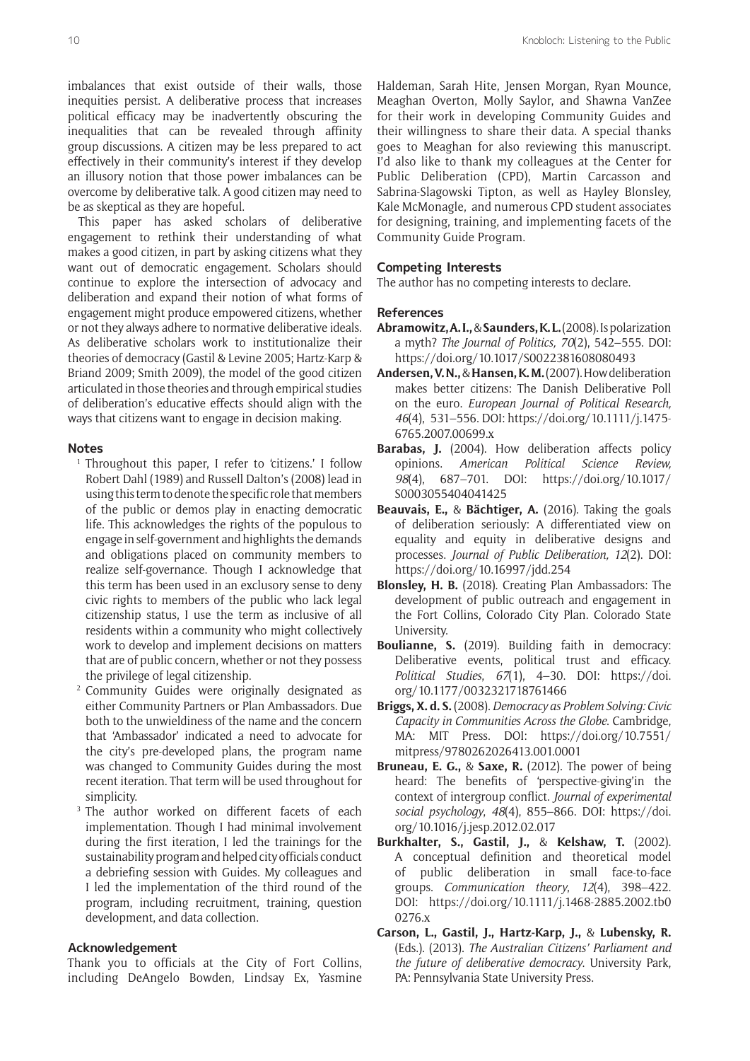imbalances that exist outside of their walls, those inequities persist. A deliberative process that increases political efficacy may be inadvertently obscuring the inequalities that can be revealed through affinity group discussions. A citizen may be less prepared to act effectively in their community's interest if they develop an illusory notion that those power imbalances can be overcome by deliberative talk. A good citizen may need to be as skeptical as they are hopeful.

This paper has asked scholars of deliberative engagement to rethink their understanding of what makes a good citizen, in part by asking citizens what they want out of democratic engagement. Scholars should continue to explore the intersection of advocacy and deliberation and expand their notion of what forms of engagement might produce empowered citizens, whether or not they always adhere to normative deliberative ideals. As deliberative scholars work to institutionalize their theories of democracy (Gastil & Levine 2005; Hartz-Karp & Briand 2009; Smith 2009), the model of the good citizen articulated in those theories and through empirical studies of deliberation's educative effects should align with the ways that citizens want to engage in decision making.

## **Notes**

- <sup>1</sup> Throughout this paper, I refer to 'citizens.' I follow Robert Dahl (1989) and Russell Dalton's (2008) lead in using this term to denote the specific role that members of the public or demos play in enacting democratic life. This acknowledges the rights of the populous to engage in self-government and highlights the demands and obligations placed on community members to realize self-governance. Though I acknowledge that this term has been used in an exclusory sense to deny civic rights to members of the public who lack legal citizenship status, I use the term as inclusive of all residents within a community who might collectively work to develop and implement decisions on matters that are of public concern, whether or not they possess the privilege of legal citizenship.
- <sup>2</sup> Community Guides were originally designated as either Community Partners or Plan Ambassadors. Due both to the unwieldiness of the name and the concern that 'Ambassador' indicated a need to advocate for the city's pre-developed plans, the program name was changed to Community Guides during the most recent iteration. That term will be used throughout for simplicity.
- <sup>3</sup> The author worked on different facets of each implementation. Though I had minimal involvement during the first iteration, I led the trainings for the sustainability program and helped city officials conduct a debriefing session with Guides. My colleagues and I led the implementation of the third round of the program, including recruitment, training, question development, and data collection.

## **Acknowledgement**

Thank you to officials at the City of Fort Collins, including DeAngelo Bowden, Lindsay Ex, Yasmine Haldeman, Sarah Hite, Jensen Morgan, Ryan Mounce, Meaghan Overton, Molly Saylor, and Shawna VanZee for their work in developing Community Guides and their willingness to share their data. A special thanks goes to Meaghan for also reviewing this manuscript. I'd also like to thank my colleagues at the Center for Public Deliberation (CPD), Martin Carcasson and Sabrina-Slagowski Tipton, as well as Hayley Blonsley, Kale McMonagle, and numerous CPD student associates for designing, training, and implementing facets of the Community Guide Program.

## **Competing Interests**

The author has no competing interests to declare.

## **References**

- **Abramowitz, A. I.,** & **Saunders, K. L.** (2008). Is polarization a myth? *The Journal of Politics, 70*(2), 542–555. DOI: <https://doi.org/10.1017/S0022381608080493>
- **Andersen, V. N.,** & **Hansen, K. M.** (2007). How deliberation makes better citizens: The Danish Deliberative Poll on the euro. *European Journal of Political Research, 46*(4), 531–556. DOI: [https://doi.org/10.1111/j.1475-](https://doi.org/10.1111/j.1475-6765.2007.00699.x) [6765.2007.00699.x](https://doi.org/10.1111/j.1475-6765.2007.00699.x)
- Barabas, J. (2004). How deliberation affects policy opinions. *American Political Science Review, 98*(4), 687–701. DOI: [https://doi.org/10.1017/](https://doi.org/10.1017/S0003055404041425) [S0003055404041425](https://doi.org/10.1017/S0003055404041425)
- **Beauvais, E.,** & **Bächtiger, A.** (2016). Taking the goals of deliberation seriously: A differentiated view on equality and equity in deliberative designs and processes. *Journal of Public Deliberation, 12*(2). DOI: <https://doi.org/10.16997/jdd.254>
- **Blonsley, H. B.** (2018). Creating Plan Ambassadors: The development of public outreach and engagement in the Fort Collins, Colorado City Plan. Colorado State University.
- **Boulianne, S.** (2019). Building faith in democracy: Deliberative events, political trust and efficacy. *Political Studies*, *67*(1), 4–30. DOI: [https://doi.](https://doi.org/10.1177/0032321718761466) [org/10.1177/0032321718761466](https://doi.org/10.1177/0032321718761466)
- **Briggs, X. d. S.** (2008). *Democracy as Problem Solving: Civic Capacity in Communities Across the Globe*. Cambridge, MA: MIT Press. DOI: [https://doi.org/10.7551/](https://doi.org/10.7551/mitpress/9780262026413.001.0001) [mitpress/9780262026413.001.0001](https://doi.org/10.7551/mitpress/9780262026413.001.0001)
- **Bruneau, E. G.,** & **Saxe, R.** (2012). The power of being heard: The benefits of 'perspective-giving'in the context of intergroup conflict. *Journal of experimental social psychology*, *48*(4), 855–866. DOI: [https://doi.](https://doi.org/10.1016/j.jesp.2012.02.017) [org/10.1016/j.jesp.2012.02.017](https://doi.org/10.1016/j.jesp.2012.02.017)
- **Burkhalter, S., Gastil, J.,** & **Kelshaw, T.** (2002). A conceptual definition and theoretical model of public deliberation in small face-to-face groups. *Communication theory*, *12*(4), 398–422. DOI: [https://doi.org/10.1111/j.1468-2885.2002.tb0](https://doi.org/10.1111/j.1468-2885.2002.tb00276.x) [0276.x](https://doi.org/10.1111/j.1468-2885.2002.tb00276.x)
- **Carson, L., Gastil, J., Hartz-Karp, J.,** & **Lubensky, R.** (Eds.). (2013). *The Australian Citizens' Parliament and the future of deliberative democracy*. University Park, PA: Pennsylvania State University Press.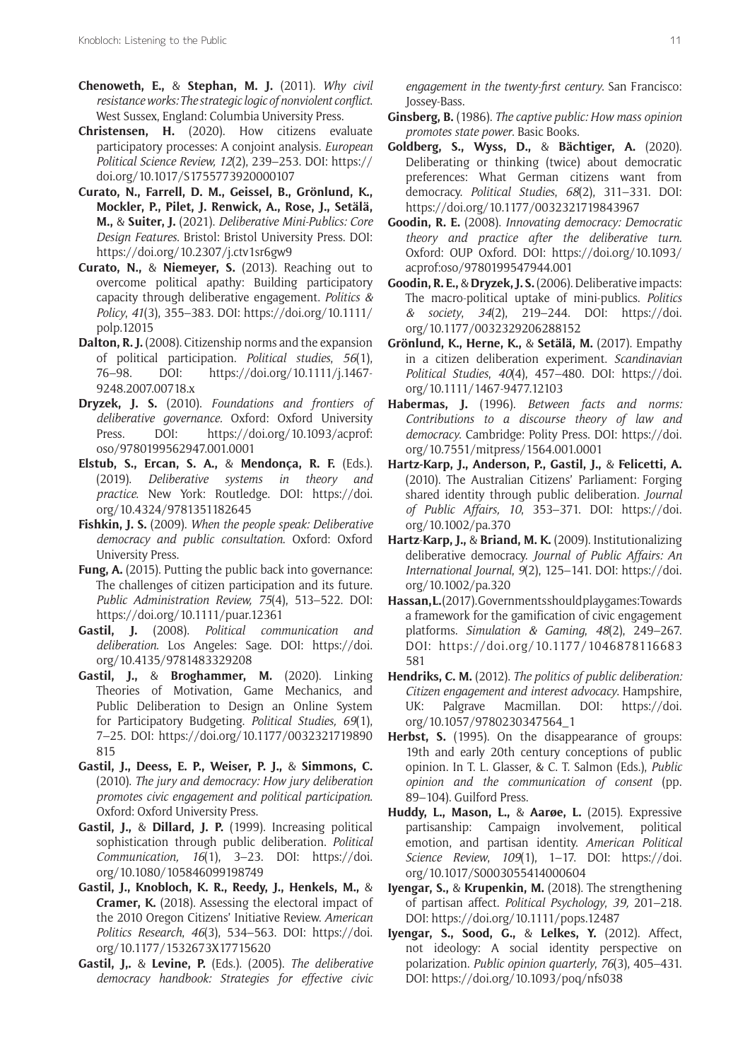- **Chenoweth, E.,** & **Stephan, M. J.** (2011). *Why civil resistance works: The strategic logic of nonviolent conflict*. West Sussex, England: Columbia University Press.
- **Christensen, H.** (2020). How citizens evaluate participatory processes: A conjoint analysis*. European Political Science Review, 12*(2), 239–253. DOI: [https://](https://doi.org/10.1017/S1755773920000107) [doi.org/10.1017/S1755773920000107](https://doi.org/10.1017/S1755773920000107)
- **Curato, N., Farrell, D. M., Geissel, B., Grönlund, K., Mockler, P., Pilet, J. Renwick, A., Rose, J., Setälä, M.,** & **Suiter, J.** (2021). *Deliberative Mini-Publics: Core Design Features*. Bristol: Bristol University Press. DOI: <https://doi.org/10.2307/j.ctv1sr6gw9>
- **Curato, N.,** & **Niemeyer, S.** (2013). Reaching out to overcome political apathy: Building participatory capacity through deliberative engagement. *Politics & Policy*, *41*(3), 355–383. DOI: [https://doi.org/10.1111/](https://doi.org/10.1111/polp.12015) [polp.12015](https://doi.org/10.1111/polp.12015)
- **Dalton, R. J.** (2008). Citizenship norms and the expansion of political participation. *Political studies*, *56*(1), 76–98. DOI: [https://doi.org/10.1111/j.1467-](https://doi.org/10.1111/j.1467-9248.2007.00718.x) [9248.2007.00718.x](https://doi.org/10.1111/j.1467-9248.2007.00718.x)
- **Dryzek, J. S.** (2010). *Foundations and frontiers of deliberative governance.* Oxford: Oxford University Press. DOI: [https://doi.org/10.1093/acprof:](https://doi.org/10.1093/acprof:oso/9780199562947.001.0001) [oso/9780199562947.001.0001](https://doi.org/10.1093/acprof:oso/9780199562947.001.0001)
- **Elstub, S., Ercan, S. A.,** & **Mendonça, R. F.** (Eds.). (2019). *Deliberative systems in theory and practice*. New York: Routledge. DOI: [https://doi.](https://doi.org/10.4324/9781351182645) [org/10.4324/9781351182645](https://doi.org/10.4324/9781351182645)
- **Fishkin, J. S.** (2009). *When the people speak: Deliberative democracy and public consultation*. Oxford: Oxford University Press.
- **Fung, A.** (2015). Putting the public back into governance: The challenges of citizen participation and its future. *Public Administration Review, 75*(4), 513–522. DOI: <https://doi.org/10.1111/puar.12361>
- **Gastil, J.** (2008). *Political communication and deliberation*. Los Angeles: Sage. DOI: [https://doi.](https://doi.org/10.4135/9781483329208) [org/10.4135/9781483329208](https://doi.org/10.4135/9781483329208)
- **Gastil, J.,** & **Broghammer, M.** (2020). Linking Theories of Motivation, Game Mechanics, and Public Deliberation to Design an Online System for Participatory Budgeting. *Political Studies, 69*(1), 7–25. DOI: [https://doi.org/10.1177/0032321719890](https://doi.org/10.1177/0032321719890815) [815](https://doi.org/10.1177/0032321719890815)
- **Gastil, J., Deess, E. P., Weiser, P. J.,** & **Simmons, C.** (2010). *The jury and democracy: How jury deliberation promotes civic engagement and political participation*. Oxford: Oxford University Press.
- **Gastil, J.,** & **Dillard, J. P.** (1999). Increasing political sophistication through public deliberation. *Political Communication, 16*(1), 3–23. DOI: [https://doi.](https://doi.org/10.1080/105846099198749) [org/10.1080/105846099198749](https://doi.org/10.1080/105846099198749)
- **Gastil, J., Knobloch, K. R., Reedy, J., Henkels, M.,** & **Cramer, K.** (2018). Assessing the electoral impact of the 2010 Oregon Citizens' Initiative Review. *American Politics Research*, *46*(3), 534–563. DOI: [https://doi.](https://doi.org/10.1177/1532673X17715620) [org/10.1177/1532673X17715620](https://doi.org/10.1177/1532673X17715620)
- **Gastil, J,.** & **Levine, P.** (Eds.). (2005). *The deliberative democracy handbook: Strategies for effective civic*

*engagement in the twenty-first century*. San Francisco: Jossey-Bass.

- **Ginsberg, B.** (1986). *The captive public: How mass opinion promotes state power*. Basic Books.
- **Goldberg, S., Wyss, D.,** & **Bächtiger, A.** (2020). Deliberating or thinking (twice) about democratic preferences: What German citizens want from democracy. *Political Studies*, *68*(2), 311–331. DOI: <https://doi.org/10.1177/0032321719843967>
- **Goodin, R. E.** (2008). *Innovating democracy: Democratic theory and practice after the deliberative turn*. Oxford: OUP Oxford. DOI: [https://doi.org/10.1093/](https://doi.org/10.1093/acprof:oso/9780199547944.001) [acprof:oso/9780199547944.001](https://doi.org/10.1093/acprof:oso/9780199547944.001)
- **Goodin, R. E.,** & **Dryzek, J. S.** (2006). Deliberative impacts: The macro-political uptake of mini-publics. *Politics & society*, *34*(2), 219–244. DOI: [https://doi.](https://doi.org/10.1177/0032329206288152) [org/10.1177/0032329206288152](https://doi.org/10.1177/0032329206288152)
- **Grönlund, K., Herne, K.,** & **Setälä, M.** (2017). Empathy in a citizen deliberation experiment. *Scandinavian Political Studies*, *40*(4), 457–480. DOI: [https://doi.](https://doi.org/10.1111/1467-9477.12103) [org/10.1111/1467-9477.12103](https://doi.org/10.1111/1467-9477.12103)
- **Habermas, J.** (1996). *Between facts and norms: Contributions to a discourse theory of law and democracy*. Cambridge: Polity Press. DOI: [https://doi.](https://doi.org/10.7551/mitpress/1564.001.0001) [org/10.7551/mitpress/1564.001.0001](https://doi.org/10.7551/mitpress/1564.001.0001)
- **Hartz-Karp, J., Anderson, P., Gastil, J.,** & **Felicetti, A.** (2010). The Australian Citizens' Parliament: Forging shared identity through public deliberation*. Journal of Public Affairs, 10*, 353–371. DOI: [https://doi.](https://doi.org/10.1002/pa.370) [org/10.1002/pa.370](https://doi.org/10.1002/pa.370)
- **Hartz**-**Karp, J.,** & **Briand, M. K.** (2009). Institutionalizing deliberative democracy. *Journal of Public Affairs: An International Journal*, *9*(2), 125–141. DOI: [https://doi.](https://doi.org/10.1002/pa.320) [org/10.1002/pa.320](https://doi.org/10.1002/pa.320)
- **Hassan, L.** (2017). Governments should play games: Towards a framework for the gamification of civic engagement platforms. *Simulation & Gaming*, *48*(2), 249–267. DOI: [https://doi.org/10.1177/1046878116683](https://doi.org/10.1177/1046878116683581) [581](https://doi.org/10.1177/1046878116683581)
- **Hendriks, C. M.** (2012). *The politics of public deliberation: Citizen engagement and interest advocacy*. Hampshire, UK: Palgrave Macmillan. DOI: [https://doi.](https://doi.org/10.1057/9780230347564_1) [org/10.1057/9780230347564\\_1](https://doi.org/10.1057/9780230347564_1)
- **Herbst, S.** (1995). On the disappearance of groups: 19th and early 20th century conceptions of public opinion. In T. L. Glasser, & C. T. Salmon (Eds.), *Public opinion and the communication of consent* (pp. 89–104). Guilford Press.
- **Huddy, L., Mason, L.,** & **Aarøe, L.** (2015). Expressive partisanship: Campaign involvement, political emotion, and partisan identity. *American Political Science Review*, *109*(1), 1–17. DOI: [https://doi.](https://doi.org/10.1017/S0003055414000604) [org/10.1017/S0003055414000604](https://doi.org/10.1017/S0003055414000604)
- **Iyengar, S.,** & **Krupenkin, M.** (2018). The strengthening of partisan affect. *Political Psychology*, *39,* 201–218. DOI: <https://doi.org/10.1111/pops.12487>
- **Iyengar, S., Sood, G.,** & **Lelkes, Y.** (2012). Affect, not ideology: A social identity perspective on polarization. *Public opinion quarterly*, *76*(3), 405–431. DOI: <https://doi.org/10.1093/poq/nfs038>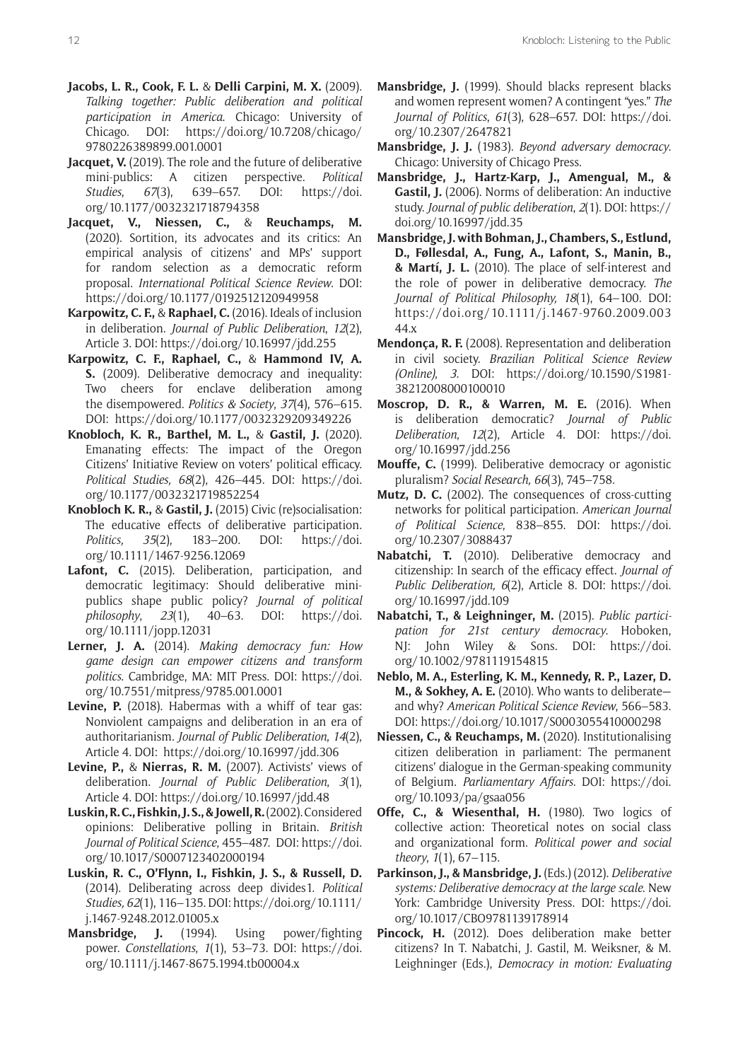- **Jacobs, L. R., Cook, F. L.** & **Delli Carpini, M. X.** (2009). *Talking together: Public deliberation and political participation in America*. Chicago: University of Chicago. DOI: [https://doi.org/10.7208/chicago/](https://doi.org/10.7208/chicago/9780226389899.001.0001) [9780226389899.001.0001](https://doi.org/10.7208/chicago/9780226389899.001.0001)
- **Jacquet, V.** (2019). The role and the future of deliberative mini-publics: A citizen perspective. *Political Studies*, *67*(3), 639–657. DOI: [https://doi.](https://doi.org/10.1177/0032321718794358) [org/10.1177/0032321718794358](https://doi.org/10.1177/0032321718794358)
- **Jacquet, V., Niessen, C.,** & **Reuchamps, M.** (2020). Sortition, its advocates and its critics: An empirical analysis of citizens' and MPs' support for random selection as a democratic reform proposal. *International Political Science Review*. DOI: <https://doi.org/10.1177/0192512120949958>
- **Karpowitz, C. F.,** & **Raphael, C.** (2016). Ideals of inclusion in deliberation. *Journal of Public Deliberation*, *12*(2), Article 3. DOI:<https://doi.org/10.16997/jdd.255>
- **Karpowitz, C. F., Raphael, C.,** & **Hammond IV, A. S.** (2009). Deliberative democracy and inequality: Two cheers for enclave deliberation among the disempowered. *Politics & Society*, *37*(4), 576–615. DOI: <https://doi.org/10.1177/0032329209349226>
- **Knobloch, K. R., Barthel, M. L.,** & **Gastil, J.** (2020). Emanating effects: The impact of the Oregon Citizens' Initiative Review on voters' political efficacy. *Political Studies, 68*(2), 426–445*.* DOI: [https://doi.](https://doi.org/10.1177/0032321719852254) [org/10.1177/0032321719852254](https://doi.org/10.1177/0032321719852254)
- **Knobloch K. R.,** & **Gastil, J.** (2015) Civic (re)socialisation: The educative effects of deliberative participation. *Politics, 35*(2), 183–200. DOI: [https://doi.](https://doi.org/10.1111/1467-9256.12069) [org/10.1111/1467-9256.12069](https://doi.org/10.1111/1467-9256.12069)
- Lafont, C. (2015). Deliberation, participation, and democratic legitimacy: Should deliberative minipublics shape public policy? *Journal of political philosophy*, *23*(1), 40–63. DOI: [https://doi.](https://doi.org/10.1111/jopp.12031) [org/10.1111/jopp.12031](https://doi.org/10.1111/jopp.12031)
- **Lerner, J. A.** (2014). *Making democracy fun: How game design can empower citizens and transform politics*. Cambridge, MA: MIT Press. DOI: [https://doi.](https://doi.org/10.7551/mitpress/9785.001.0001) [org/10.7551/mitpress/9785.001.0001](https://doi.org/10.7551/mitpress/9785.001.0001)
- **Levine, P.** (2018). Habermas with a whiff of tear gas: Nonviolent campaigns and deliberation in an era of authoritarianism. *Journal of Public Deliberation*, *14*(2), Article 4. DOI: <https://doi.org/10.16997/jdd.306>
- **Levine, P.,** & **Nierras, R. M.** (2007). Activists' views of deliberation. *Journal of Public Deliberation*, *3*(1), Article 4. DOI:<https://doi.org/10.16997/jdd.48>
- **Luskin, R. C., Fishkin, J. S., & Jowell, R.** (2002). Considered opinions: Deliberative polling in Britain. *British Journal of Political Science*, 455–487. DOI: [https://doi.](https://doi.org/10.1017/S0007123402000194) [org/10.1017/S0007123402000194](https://doi.org/10.1017/S0007123402000194)
- **Luskin, R. C., O'Flynn, I., Fishkin, J. S., & Russell, D.** (2014). Deliberating across deep divides1. *Political Studies, 62*(1), 116–135. DOI: [https://doi.org/10.1111/](https://doi.org/10.1111/j.1467-9248.2012.01005.x) [j.1467-9248.2012.01005.x](https://doi.org/10.1111/j.1467-9248.2012.01005.x)
- **Mansbridge, J.** (1994). Using power/fighting power. *Constellations*, *1*(1), 53–73. DOI: [https://doi.](https://doi.org/10.1111/j.1467-8675.1994.tb00004.x) [org/10.1111/j.1467-8675.1994.tb00004.x](https://doi.org/10.1111/j.1467-8675.1994.tb00004.x)
- **Mansbridge, J.** (1999). Should blacks represent blacks and women represent women? A contingent "yes." *The Journal of Politics*, *61*(3), 628–657. DOI: [https://doi.](https://doi.org/10.2307/2647821) [org/10.2307/2647821](https://doi.org/10.2307/2647821)
- **Mansbridge, J. J.** (1983). *Beyond adversary democracy*. Chicago: University of Chicago Press.
- **Mansbridge, J., Hartz-Karp, J., Amengual, M., & Gastil, J.** (2006). Norms of deliberation: An inductive study. *Journal of public deliberation*, *2*(1). DOI: [https://](https://doi.org/10.16997/jdd.35) [doi.org/10.16997/jdd.35](https://doi.org/10.16997/jdd.35)
- **Mansbridge, J. with Bohman, J., Chambers, S., Estlund, D., Føllesdal, A., Fung, A., Lafont, S., Manin, B., & Martí, J. L.** (2010). The place of self-interest and the role of power in deliberative democracy. *The Journal of Political Philosophy, 18*(1), 64–100. DOI: [https://doi.org/10.1111/j.1467-9760.2009.003](https://doi.org/10.1111/j.1467-9760.2009.00344.x) [44.x](https://doi.org/10.1111/j.1467-9760.2009.00344.x)
- **Mendonça, R. F.** (2008). Representation and deliberation in civil society. *Brazilian Political Science Review (Online)*, *3*. DOI: [https://doi.org/10.1590/S1981-](https://doi.org/10.1590/S1981-38212008000100010) [38212008000100010](https://doi.org/10.1590/S1981-38212008000100010)
- **Moscrop, D. R., & Warren, M. E.** (2016). When is deliberation democratic? *Journal of Public Deliberation*, *12*(2), Article 4. DOI: [https://doi.](https://doi.org/10.16997/jdd.256) [org/10.16997/jdd.256](https://doi.org/10.16997/jdd.256)
- **Mouffe, C.** (1999). Deliberative democracy or agonistic pluralism? *Social Research, 66*(3), 745–758.
- **Mutz, D. C.** (2002). The consequences of cross-cutting networks for political participation. *American Journal of Political Science*, 838–855. DOI: [https://doi.](https://doi.org/10.2307/3088437) [org/10.2307/3088437](https://doi.org/10.2307/3088437)
- **Nabatchi, T.** (2010). Deliberative democracy and citizenship: In search of the efficacy effect. *Journal of Public Deliberation, 6*(2), Article 8. DOI: [https://doi.](https://doi.org/10.16997/jdd.109) [org/10.16997/jdd.109](https://doi.org/10.16997/jdd.109)
- **Nabatchi, T., & Leighninger, M.** (2015). *Public participation for 21st century democracy*. Hoboken, NJ: John Wiley & Sons. DOI: [https://doi.](https://doi.org/10.1002/9781119154815) [org/10.1002/9781119154815](https://doi.org/10.1002/9781119154815)
- **Neblo, M. A., Esterling, K. M., Kennedy, R. P., Lazer, D. M., & Sokhey, A. E.** (2010). Who wants to deliberate and why? *American Political Science Review*, 566–583. DOI:<https://doi.org/10.1017/S0003055410000298>
- **Niessen, C., & Reuchamps, M.** (2020). Institutionalising citizen deliberation in parliament: The permanent citizens' dialogue in the German-speaking community of Belgium. *Parliamentary Affairs*. DOI: [https://doi.](https://doi.org/10.1093/pa/gsaa056) [org/10.1093/pa/gsaa056](https://doi.org/10.1093/pa/gsaa056)
- **Offe, C., & Wiesenthal, H.** (1980). Two logics of collective action: Theoretical notes on social class and organizational form. *Political power and social theory*, *1*(1), 67–115.
- **Parkinson, J., & Mansbridge, J.** (Eds.) (2012). *Deliberative systems: Deliberative democracy at the large scale*. New York: Cambridge University Press. DOI: [https://doi.](https://doi.org/10.1017/CBO9781139178914) [org/10.1017/CBO9781139178914](https://doi.org/10.1017/CBO9781139178914)
- **Pincock, H.** (2012). Does deliberation make better citizens? In T. Nabatchi, J. Gastil, M. Weiksner, & M. Leighninger (Eds.), *Democracy in motion: Evaluating*